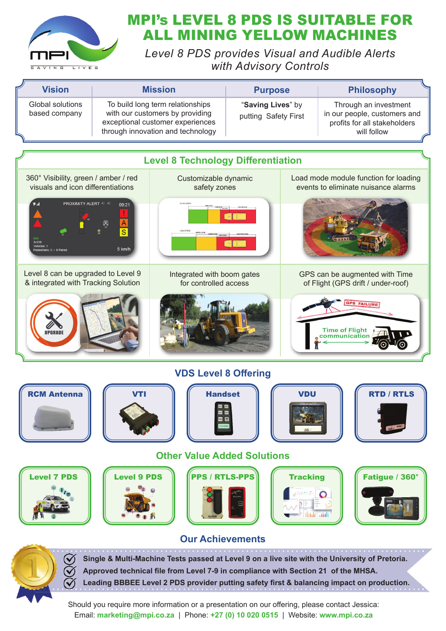

## MPI's LEVEL 8 PDS IS SUITABLE FOR ALL MINING YELLOW MACHINES

*Level 8 PDS provides Visual and Audible Alerts with Advisory Controls*

| <b>Vision</b>                     | <b>Mission</b>                                                                                                                               | <b>Purpose</b>                            | <b>Philosophy</b>                                                                                    |
|-----------------------------------|----------------------------------------------------------------------------------------------------------------------------------------------|-------------------------------------------|------------------------------------------------------------------------------------------------------|
| Global solutions<br>based company | To build long term relationships<br>with our customers by providing<br>exceptional customer experiences<br>through innovation and technology | "Saving Lives" by<br>putting Safety First | Through an investment<br>in our people, customers and<br>profits for all stakeholders<br>will follow |





**Single & Multi-Machine Tests passed at Level 9 on a live site with the University of Pretoria.** Approved technical file from Level 7-9 in compliance with Section 21 of the MHSA. Leading BBBEE Level 2 PDS provider putting safety first & balancing impact on production.

Should you require more information or a presentation on our offering, please contact Jessica: Email: **marketing@mpi.co.za** | Phone: **+27 (0) 10 020 0515** | Website: **www.mpi.co.za**